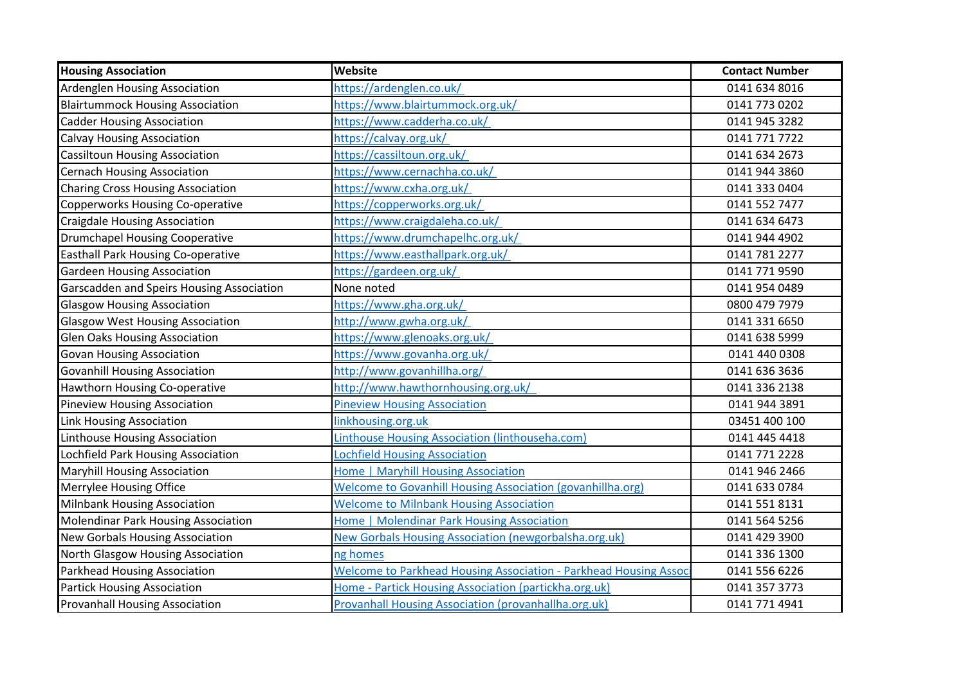| <b>Housing Association</b>                | Website                                                                  | <b>Contact Number</b> |
|-------------------------------------------|--------------------------------------------------------------------------|-----------------------|
| Ardenglen Housing Association             | https://ardenglen.co.uk/                                                 | 0141 634 8016         |
| <b>Blairtummock Housing Association</b>   | https://www.blairtummock.org.uk/                                         | 0141 773 0202         |
| <b>Cadder Housing Association</b>         | https://www.cadderha.co.uk/                                              | 0141 945 3282         |
| <b>Calvay Housing Association</b>         | https://calvay.org.uk/                                                   | 0141 771 7722         |
| <b>Cassiltoun Housing Association</b>     | https://cassiltoun.org.uk/                                               | 0141 634 2673         |
| <b>Cernach Housing Association</b>        | https://www.cernachha.co.uk/                                             | 0141 944 3860         |
| <b>Charing Cross Housing Association</b>  | https://www.cxha.org.uk/                                                 | 0141 333 0404         |
| Copperworks Housing Co-operative          | https://copperworks.org.uk/                                              | 0141 552 7477         |
| <b>Craigdale Housing Association</b>      | https://www.craigdaleha.co.uk/                                           | 0141 634 6473         |
| <b>Drumchapel Housing Cooperative</b>     | https://www.drumchapelhc.org.uk/                                         | 0141 944 4902         |
| Easthall Park Housing Co-operative        | https://www.easthallpark.org.uk/                                         | 0141 781 2277         |
| <b>Gardeen Housing Association</b>        | https://gardeen.org.uk/                                                  | 0141 771 9590         |
| Garscadden and Speirs Housing Association | None noted                                                               | 0141 954 0489         |
| <b>Glasgow Housing Association</b>        | https://www.gha.org.uk/                                                  | 0800 479 7979         |
| <b>Glasgow West Housing Association</b>   | http://www.gwha.org.uk/                                                  | 0141 331 6650         |
| <b>Glen Oaks Housing Association</b>      | https://www.glenoaks.org.uk/                                             | 0141 638 5999         |
| <b>Govan Housing Association</b>          | https://www.govanha.org.uk/                                              | 0141 440 0308         |
| <b>Govanhill Housing Association</b>      | http://www.govanhillha.org/                                              | 0141 636 3636         |
| Hawthorn Housing Co-operative             | http://www.hawthornhousing.org.uk/                                       | 0141 336 2138         |
| Pineview Housing Association              | <b>Pineview Housing Association</b>                                      | 0141 944 3891         |
| Link Housing Association                  | linkhousing.org.uk                                                       | 03451 400 100         |
| Linthouse Housing Association             | Linthouse Housing Association (linthouseha.com)                          | 0141 445 4418         |
| Lochfield Park Housing Association        | <b>Lochfield Housing Association</b>                                     | 0141 771 2228         |
| <b>Maryhill Housing Association</b>       | Home   Maryhill Housing Association                                      | 0141 946 2466         |
| Merrylee Housing Office                   | <b>Welcome to Govanhill Housing Association (govanhillha.org)</b>        | 0141 633 0784         |
| Milnbank Housing Association              | <b>Welcome to Milnbank Housing Association</b>                           | 0141 551 8131         |
| Molendinar Park Housing Association       | <b>Home   Molendinar Park Housing Association</b>                        | 0141 564 5256         |
| <b>New Gorbals Housing Association</b>    | <b>New Gorbals Housing Association (newgorbalsha.org.uk)</b>             | 0141 429 3900         |
| North Glasgow Housing Association         | ng homes                                                                 | 0141 336 1300         |
| Parkhead Housing Association              | <b>Welcome to Parkhead Housing Association - Parkhead Housing Associ</b> | 0141 556 6226         |
| <b>Partick Housing Association</b>        | Home - Partick Housing Association (partickha.org.uk)                    | 0141 357 3773         |
| <b>Provanhall Housing Association</b>     | Provanhall Housing Association (provanhallha.org.uk)                     | 0141 771 4941         |